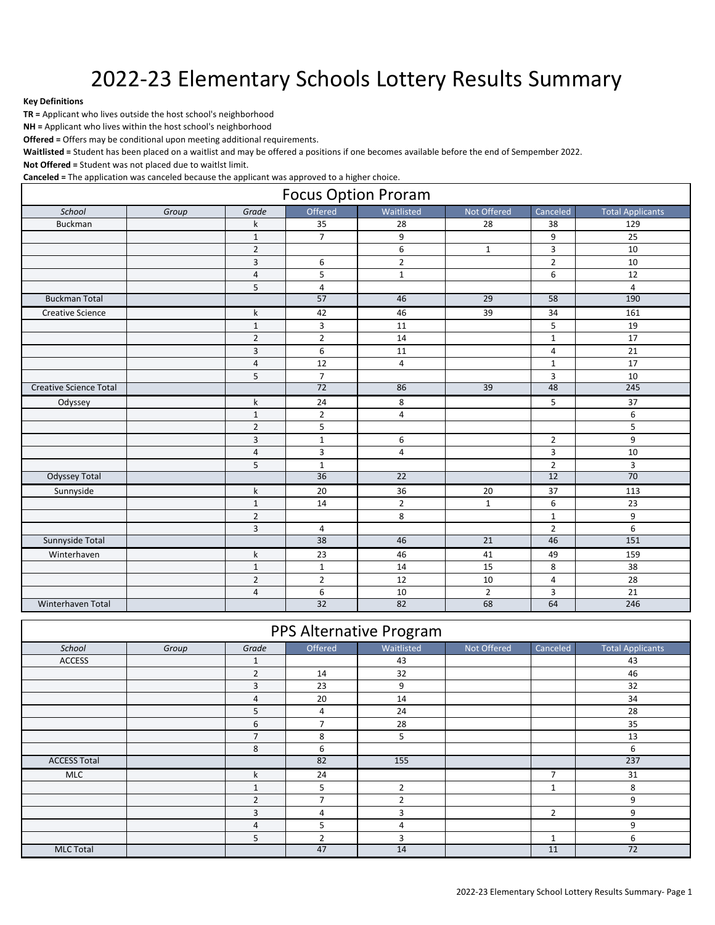## 2022-23 Elementary Schools Lottery Results Summary

## **Key Definitions**

**TR =** Applicant who lives outside the host school's neighborhood

**NH =** Applicant who lives within the host school's neighborhood

**Offered =** Offers may be conditional upon meeting additional requirements.

**Waitlisted =** Student has been placed on a waitlist and may be offered a positions if one becomes available before the end of Sempember 2022.

**Not Offered =** Student was not placed due to waitlst limit.

**Canceled =** The application was canceled because the applicant was approved to a higher choice.

| <b>Focus Option Proram</b>    |       |                |                 |                 |                 |                 |                         |  |
|-------------------------------|-------|----------------|-----------------|-----------------|-----------------|-----------------|-------------------------|--|
| School                        | Group | Grade          | Offered         | Waitlisted      | Not Offered     | Canceled        | <b>Total Applicants</b> |  |
| <b>Buckman</b>                |       | k              | 35              | 28              | 28              | 38              | 129                     |  |
|                               |       | $\mathbf{1}$   | $\overline{7}$  | 9               |                 | 9               | 25                      |  |
|                               |       | $\overline{2}$ |                 | $\overline{6}$  | $\mathbf{1}$    | $\overline{3}$  | 10                      |  |
|                               |       | $\overline{3}$ | 6               | $\overline{2}$  |                 | $\overline{2}$  | 10                      |  |
|                               |       | $\sqrt{4}$     | 5               | $\mathbf{1}$    |                 | 6               | 12                      |  |
|                               |       | 5              | $\overline{4}$  |                 |                 |                 | $\overline{4}$          |  |
| <b>Buckman Total</b>          |       |                | 57              | 46              | 29              | $\overline{58}$ | 190                     |  |
| <b>Creative Science</b>       |       | k              | 42              | 46              | 39              | 34              | 161                     |  |
|                               |       | $\mathbf{1}$   | 3               | 11              |                 | 5               | 19                      |  |
|                               |       | $\overline{2}$ | $\overline{2}$  | 14              |                 | $\mathbf 1$     | 17                      |  |
|                               |       | $\overline{3}$ | 6               | 11              |                 | $\overline{4}$  | 21                      |  |
|                               |       | $\sqrt{4}$     | 12              | $\sqrt{4}$      |                 | $\mathbf 1$     | 17                      |  |
|                               |       | 5              | $\overline{7}$  |                 |                 | 3               | 10                      |  |
| <b>Creative Science Total</b> |       |                | $\overline{72}$ | 86              | $\overline{39}$ | 48              | 245                     |  |
| Odyssey                       |       | k              | 24              | 8               |                 | 5               | 37                      |  |
|                               |       | $\mathbf 1$    | $\overline{2}$  | 4               |                 |                 | 6                       |  |
|                               |       | $\overline{2}$ | 5               |                 |                 |                 | 5                       |  |
|                               |       | 3              | $\mathbf{1}$    | 6               |                 | $\overline{2}$  | 9                       |  |
|                               |       | $\overline{4}$ | $\overline{3}$  | $\overline{4}$  |                 | $\overline{3}$  | 10                      |  |
|                               |       | 5              | $\mathbf{1}$    |                 |                 | $\overline{2}$  | 3                       |  |
| <b>Odyssey Total</b>          |       |                | 36              | $\overline{22}$ |                 | 12              | 70                      |  |
| Sunnyside                     |       | k              | 20              | 36              | 20              | 37              | 113                     |  |
|                               |       | $\mathbf{1}$   | 14              | $\overline{2}$  | $\mathbf{1}$    | 6               | 23                      |  |
|                               |       | $\overline{2}$ |                 | 8               |                 | $\mathbf{1}$    | 9                       |  |
|                               |       | 3              | $\overline{4}$  |                 |                 | $\overline{2}$  | 6                       |  |
| Sunnyside Total               |       |                | 38              | 46              | $\overline{21}$ | 46              | 151                     |  |
| Winterhaven                   |       | k              | 23              | 46              | 41              | 49              | 159                     |  |
|                               |       | $\mathbf{1}$   | $\mathbf{1}$    | 14              | 15              | 8               | 38                      |  |
|                               |       | $\overline{2}$ | $\overline{2}$  | 12              | 10              | $\overline{4}$  | 28                      |  |
|                               |       | $\sqrt{4}$     | 6               | 10              | $\overline{2}$  | 3               | 21                      |  |
| Winterhaven Total             |       |                | 32              | 82              | 68              | 64              | 246                     |  |

## PPS Alternative Program

| School              | Group | Grade          | Offered        | Waitlisted     | Not Offered | Canceled           | <b>Total Applicants</b> |
|---------------------|-------|----------------|----------------|----------------|-------------|--------------------|-------------------------|
| <b>ACCESS</b>       |       | 1              |                | 43             |             |                    | 43                      |
|                     |       | $\overline{2}$ | 14             | 32             |             |                    | 46                      |
|                     |       | 3              | 23             | 9              |             |                    | 32                      |
|                     |       | 4              | 20             | 14             |             |                    | 34                      |
|                     |       | 5              | 4              | 24             |             |                    | 28                      |
|                     |       | 6              | $\overline{7}$ | 28             |             |                    | 35                      |
|                     |       | $\overline{7}$ | 8              | 5              |             |                    | 13                      |
|                     |       | 8              | 6              |                |             |                    | 6                       |
| <b>ACCESS Total</b> |       |                | 82             | 155            |             |                    | 237                     |
| <b>MLC</b>          |       | k              | 24             |                |             | $\overline{7}$     | 31                      |
|                     |       | $\mathbf{1}$   | 5              | $\overline{2}$ |             | $\mathbf{A}$<br>Ŧ. | 8                       |
|                     |       | $\overline{2}$ | $\overline{ }$ | $\overline{2}$ |             |                    | 9                       |
|                     |       | 3              | 4              | 3              |             | $\overline{2}$     | 9                       |
|                     |       | 4              | 5              | 4              |             |                    | 9                       |
|                     |       | 5              | 2              | 3              |             | 1                  | 6                       |
| <b>MLC Total</b>    |       |                | 47             | 14             |             | 11                 | 72                      |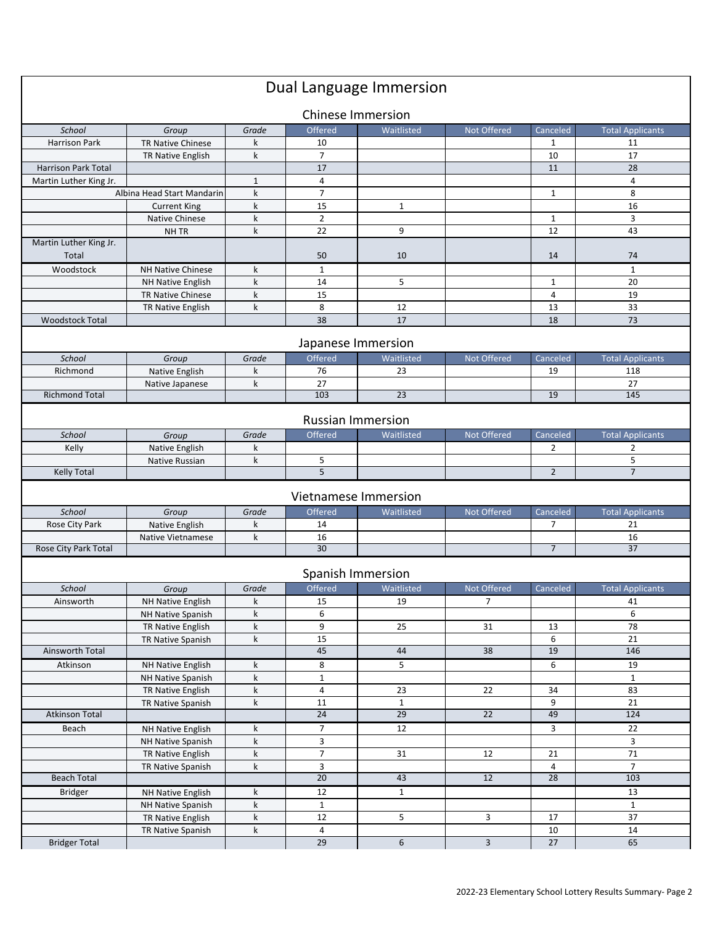|                            |                            |              |                                | Dual Language Immersion |                 |                      |                         |
|----------------------------|----------------------------|--------------|--------------------------------|-------------------------|-----------------|----------------------|-------------------------|
|                            |                            |              | <b>Chinese Immersion</b>       |                         |                 |                      |                         |
| School                     | Group                      | Grade        | Offered                        | Waitlisted              | Not Offered     | Canceled             | <b>Total Applicants</b> |
| Harrison Park              | TR Native Chinese          | k            | 10                             |                         |                 | 1                    | 11                      |
|                            | TR Native English          | k            | $\overline{7}$                 |                         |                 | 10                   | 17                      |
| <b>Harrison Park Total</b> |                            |              | 17                             |                         |                 | 11                   | 28                      |
| Martin Luther King Jr.     |                            | $\mathbf{1}$ | 4                              |                         |                 |                      | 4                       |
|                            | Albina Head Start Mandarin | k            | $\overline{7}$                 |                         |                 | $\mathbf{1}$         | 8                       |
|                            | <b>Current King</b>        | k            | 15                             | $\mathbf{1}$            |                 |                      | 16                      |
|                            | Native Chinese             | k            | $\overline{2}$                 |                         |                 | 1                    | 3                       |
|                            | NH TR                      | $\mathsf k$  | 22                             | 9                       |                 | 12                   | 43                      |
| Martin Luther King Jr.     |                            |              |                                |                         |                 |                      |                         |
| Total                      |                            |              | 50                             | 10                      |                 | 14                   | 74                      |
| Woodstock                  | <b>NH Native Chinese</b>   | k            | 1                              |                         |                 |                      | $\mathbf{1}$            |
|                            | NH Native English          | k            | 14                             | 5                       |                 | $\mathbf{1}$         | 20                      |
|                            | TR Native Chinese          | k            | 15                             |                         |                 | $\overline{4}$       | 19                      |
|                            | TR Native English          | k            | 8                              | 12                      |                 | 13                   | 33                      |
| <b>Woodstock Total</b>     |                            |              | 38                             | 17                      |                 | 18                   | 73                      |
|                            |                            |              |                                |                         |                 |                      |                         |
|                            |                            |              | Japanese Immersion             |                         |                 |                      |                         |
| School                     | Group                      | Grade        | Offered                        | Waitlisted              | Not Offered     | Canceled             | <b>Total Applicants</b> |
| Richmond                   | Native English             | k            | 76                             | 23                      |                 | 19                   | 118                     |
|                            | Native Japanese            | k            | 27                             |                         |                 |                      | 27                      |
| <b>Richmond Total</b>      |                            |              | 103                            | 23                      |                 | 19                   | 145                     |
|                            |                            |              |                                |                         |                 |                      |                         |
|                            |                            |              | <b>Russian Immersion</b>       |                         |                 |                      |                         |
| School                     | Group                      | Grade        | Offered                        | Waitlisted              | Not Offered     | Canceled             | <b>Total Applicants</b> |
| Kelly                      | Native English             | k            |                                |                         |                 | 2                    | 2                       |
|                            | Native Russian             | k            | 5                              |                         |                 |                      | 5                       |
| <b>Kelly Total</b>         |                            |              | 5                              |                         |                 | $\overline{2}$       | $\overline{7}$          |
|                            |                            |              |                                |                         |                 |                      |                         |
|                            |                            |              | Vietnamese Immersion           |                         |                 |                      |                         |
| School                     | Group                      | Grade        | Offered                        | Waitlisted              | Not Offered     | Canceled             | <b>Total Applicants</b> |
| Rose City Park             | Native English             | k            | 14                             |                         |                 | $\overline{7}$       | 21                      |
|                            | <b>Native Vietnamese</b>   | k            | 16                             |                         |                 |                      | 16                      |
| Rose City Park Total       |                            |              | 30                             |                         |                 | $\overline{7}$       | 37                      |
|                            |                            |              |                                |                         |                 |                      |                         |
|                            |                            |              | Spanish Immersion              |                         |                 |                      |                         |
| School                     | Group                      | Grade        | Offered                        | <b>Waitlisted</b>       | Not Offered     | Canceled             | <b>Total Applicants</b> |
| Ainsworth                  | NH Native English          | k            | 15                             | 19                      | $\overline{7}$  |                      | 41                      |
|                            | NH Native Spanish          | k            | 6                              |                         |                 |                      | 6                       |
|                            | TR Native English          | k            | 9                              | 25                      | 31              | 13                   | 78                      |
|                            | TR Native Spanish          | k            | 15                             |                         |                 | 6                    | 21                      |
| Ainsworth Total            |                            |              | 45                             | 44                      | 38              | 19                   | 146                     |
| Atkinson                   | NH Native English          | k            | 8                              | 5                       |                 | 6                    | 19                      |
|                            | NH Native Spanish          | k            | $\mathbf{1}$                   |                         |                 |                      | $\mathbf{1}$            |
|                            | TR Native English          | k            | 4                              | 23                      | 22              | 34                   | 83                      |
|                            | TR Native Spanish          | k            | 11                             | $\mathbf{1}$            |                 | 9                    | 21                      |
| <b>Atkinson Total</b>      |                            |              | 24                             | 29                      | 22              | 49                   | 124                     |
|                            |                            |              |                                |                         |                 |                      |                         |
| Beach                      | NH Native English          | k<br>k       | $\overline{7}$<br>$\mathbf{3}$ | 12                      |                 | 3                    | 22<br>3                 |
|                            | NH Native Spanish          | k            | $\overline{7}$                 | 31                      | 12              |                      | 71                      |
|                            | TR Native English          |              |                                |                         |                 | 21                   | $\overline{7}$          |
| <b>Beach Total</b>         | TR Native Spanish          | k            | 3<br>$\overline{20}$           | 43                      | $\overline{12}$ | 4<br>$\overline{28}$ | 103                     |
|                            |                            |              |                                |                         |                 |                      |                         |
| <b>Bridger</b>             | NH Native English          | k            | 12                             | $\mathbf{1}$            |                 |                      | 13                      |
|                            | NH Native Spanish          | k            | $\mathbf 1$                    |                         |                 |                      | $\mathbf{1}$            |
|                            | TR Native English          | k            | 12                             | 5                       | 3               | 17                   | 37                      |
|                            | TR Native Spanish          | k            | 4                              |                         |                 | 10                   | 14                      |
| <b>Bridger Total</b>       |                            |              | 29                             | 6                       | $\mathbf{3}$    | 27                   | 65                      |